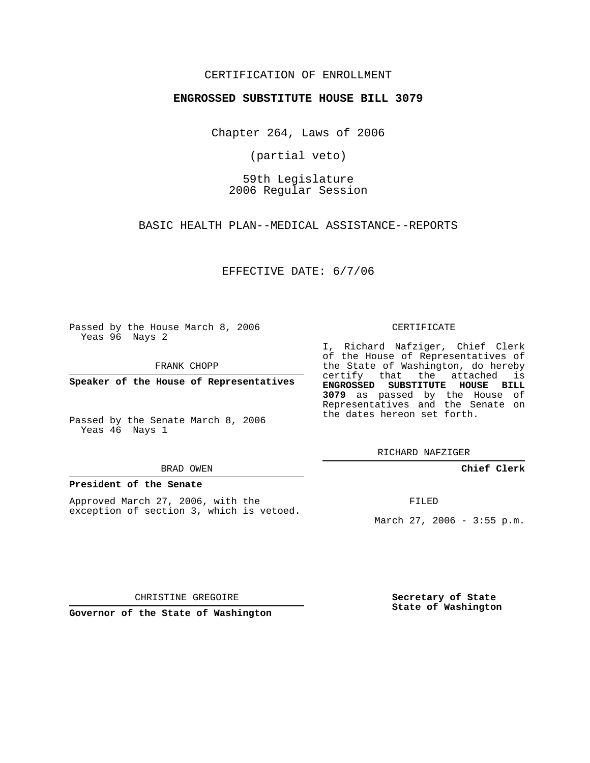## CERTIFICATION OF ENROLLMENT

## **ENGROSSED SUBSTITUTE HOUSE BILL 3079**

Chapter 264, Laws of 2006

(partial veto)

59th Legislature 2006 Regular Session

BASIC HEALTH PLAN--MEDICAL ASSISTANCE--REPORTS

EFFECTIVE DATE: 6/7/06

Passed by the House March 8, 2006 Yeas 96 Nays 2

FRANK CHOPP

**Speaker of the House of Representatives**

Passed by the Senate March 8, 2006 Yeas 46 Nays 1

#### BRAD OWEN

## **President of the Senate**

Approved March 27, 2006, with the exception of section 3, which is vetoed.

#### CERTIFICATE

I, Richard Nafziger, Chief Clerk of the House of Representatives of the State of Washington, do hereby certify that the attached is **ENGROSSED SUBSTITUTE HOUSE BILL 3079** as passed by the House of Representatives and the Senate on the dates hereon set forth.

RICHARD NAFZIGER

**Chief Clerk**

FILED

March 27, 2006 - 3:55 p.m.

CHRISTINE GREGOIRE

**Governor of the State of Washington**

**Secretary of State State of Washington**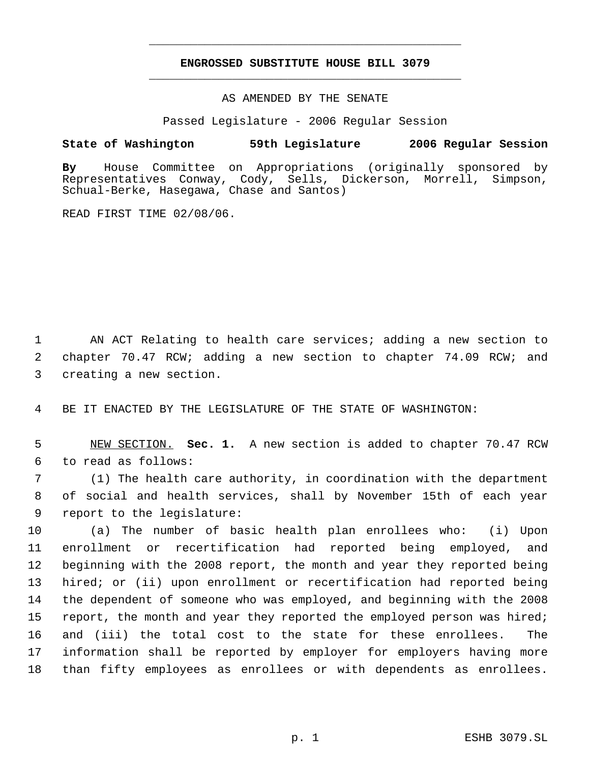# **ENGROSSED SUBSTITUTE HOUSE BILL 3079** \_\_\_\_\_\_\_\_\_\_\_\_\_\_\_\_\_\_\_\_\_\_\_\_\_\_\_\_\_\_\_\_\_\_\_\_\_\_\_\_\_\_\_\_\_

\_\_\_\_\_\_\_\_\_\_\_\_\_\_\_\_\_\_\_\_\_\_\_\_\_\_\_\_\_\_\_\_\_\_\_\_\_\_\_\_\_\_\_\_\_

## AS AMENDED BY THE SENATE

Passed Legislature - 2006 Regular Session

# **State of Washington 59th Legislature 2006 Regular Session**

**By** House Committee on Appropriations (originally sponsored by Representatives Conway, Cody, Sells, Dickerson, Morrell, Simpson, Schual-Berke, Hasegawa, Chase and Santos)

READ FIRST TIME 02/08/06.

 1 AN ACT Relating to health care services; adding a new section to 2 chapter 70.47 RCW; adding a new section to chapter 74.09 RCW; and 3 creating a new section.

4 BE IT ENACTED BY THE LEGISLATURE OF THE STATE OF WASHINGTON:

 5 NEW SECTION. **Sec. 1.** A new section is added to chapter 70.47 RCW 6 to read as follows:

 7 (1) The health care authority, in coordination with the department 8 of social and health services, shall by November 15th of each year 9 report to the legislature:

 (a) The number of basic health plan enrollees who: (i) Upon enrollment or recertification had reported being employed, and beginning with the 2008 report, the month and year they reported being hired; or (ii) upon enrollment or recertification had reported being the dependent of someone who was employed, and beginning with the 2008 15 report, the month and year they reported the employed person was hired; and (iii) the total cost to the state for these enrollees. The information shall be reported by employer for employers having more than fifty employees as enrollees or with dependents as enrollees.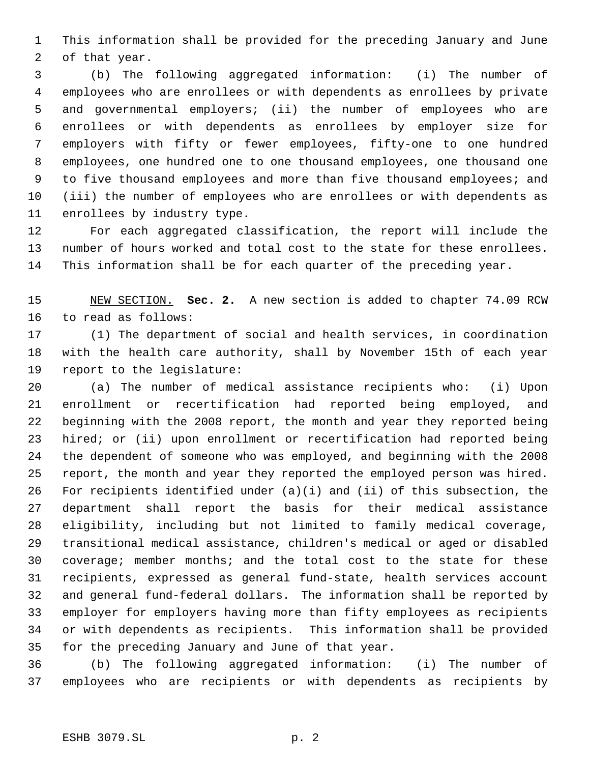This information shall be provided for the preceding January and June of that year.

 (b) The following aggregated information: (i) The number of employees who are enrollees or with dependents as enrollees by private and governmental employers; (ii) the number of employees who are enrollees or with dependents as enrollees by employer size for employers with fifty or fewer employees, fifty-one to one hundred employees, one hundred one to one thousand employees, one thousand one to five thousand employees and more than five thousand employees; and (iii) the number of employees who are enrollees or with dependents as enrollees by industry type.

 For each aggregated classification, the report will include the number of hours worked and total cost to the state for these enrollees. This information shall be for each quarter of the preceding year.

 NEW SECTION. **Sec. 2.** A new section is added to chapter 74.09 RCW to read as follows:

 (1) The department of social and health services, in coordination with the health care authority, shall by November 15th of each year report to the legislature:

 (a) The number of medical assistance recipients who: (i) Upon enrollment or recertification had reported being employed, and beginning with the 2008 report, the month and year they reported being hired; or (ii) upon enrollment or recertification had reported being the dependent of someone who was employed, and beginning with the 2008 report, the month and year they reported the employed person was hired. For recipients identified under (a)(i) and (ii) of this subsection, the department shall report the basis for their medical assistance eligibility, including but not limited to family medical coverage, transitional medical assistance, children's medical or aged or disabled coverage; member months; and the total cost to the state for these recipients, expressed as general fund-state, health services account and general fund-federal dollars. The information shall be reported by employer for employers having more than fifty employees as recipients or with dependents as recipients. This information shall be provided for the preceding January and June of that year.

 (b) The following aggregated information: (i) The number of employees who are recipients or with dependents as recipients by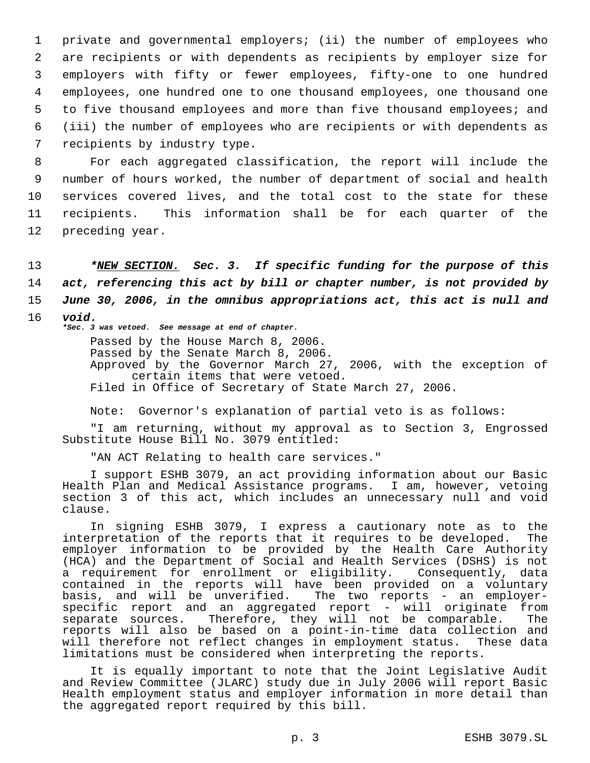private and governmental employers; (ii) the number of employees who are recipients or with dependents as recipients by employer size for employers with fifty or fewer employees, fifty-one to one hundred employees, one hundred one to one thousand employees, one thousand one to five thousand employees and more than five thousand employees; and (iii) the number of employees who are recipients or with dependents as recipients by industry type.

 For each aggregated classification, the report will include the number of hours worked, the number of department of social and health services covered lives, and the total cost to the state for these recipients. This information shall be for each quarter of the preceding year.

 *\*NEW SECTION. Sec. 3. If specific funding for the purpose of this act, referencing this act by bill or chapter number, is not provided by June 30, 2006, in the omnibus appropriations act, this act is null and* 16 *void.*

*\*Sec. 3 was vetoed. See message at end of chapter.*

Passed by the House March 8, 2006. Passed by the Senate March 8, 2006. Approved by the Governor March 27, 2006, with the exception of certain items that were vetoed. Filed in Office of Secretary of State March 27, 2006.

Note: Governor's explanation of partial veto is as follows:

"I am returning, without my approval as to Section 3, Engrossed Substitute House Bill No. 3079 entitled:

"AN ACT Relating to health care services."

I support ESHB 3079, an act providing information about our Basic Health Plan and Medical Assistance programs. I am, however, vetoing section 3 of this act, which includes an unnecessary null and void clause.

In signing ESHB 3079, I express a cautionary note as to the interpretation of the reports that it requires to be developed. The employer information to be provided by the Health Care Authority (HCA) and the Department of Social and Health Services (DSHS) is not a requirement for enrollment or eligibility. Consequently, data contained in the reports will have been provided on a voluntary basis, and will be unverified. The two reports - an employerspecific report and an aggregated report - will originate from separate sources. Therefore, they will not be comparable. The reports will also be based on a point-in-time data collection and will therefore not reflect changes in employment status. These data limitations must be considered when interpreting the reports.

It is equally important to note that the Joint Legislative Audit and Review Committee (JLARC) study due in July 2006 will report Basic Health employment status and employer information in more detail than the aggregated report required by this bill.